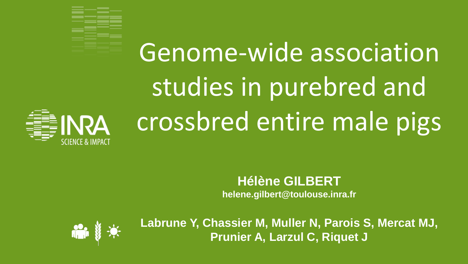

**NRA** 

# Genome-wide association studies in purebred and crossbred entire male pigs

#### **Hélène GILBERT**

**helene.gilbert@toulouse.inra.fr**



**Labrune Y, Chassier M, Muller N, Parois S, Mercat MJ, Prunier A, Larzul C, Riquet J**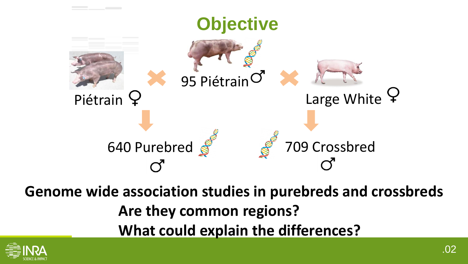

**Genome wide association studies in purebreds and crossbreds Are they common regions? What could explain the differences?**

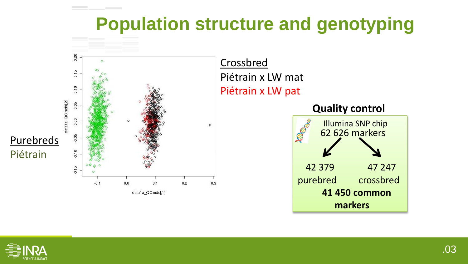#### **Population structure and genotyping**



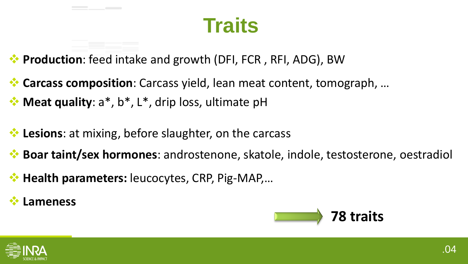# **Traits**

- **Production**: feed intake and growth (DFI, FCR, RFI, ADG), BW
- **Carcass composition**: Carcass yield, lean meat content, tomograph, …
- **Meat quality**: a\*, b\*, L\*, drip loss, ultimate pH
- **Lesions**: at mixing, before slaughter, on the carcass
- **Boar taint/sex hormones**: androstenone, skatole, indole, testosterone, oestradiol
- **Health parameters:** leucocytes, CRP, Pig-MAP,…
- **Lameness**



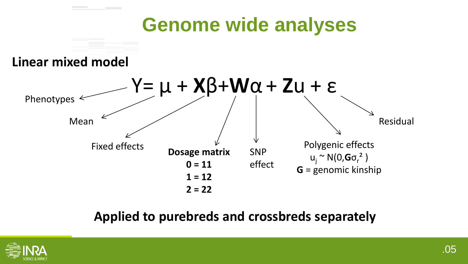# **Genome wide analyses**

#### **Linear mixed model**



#### **Applied to purebreds and crossbreds separately**

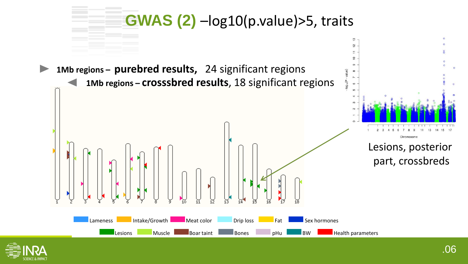

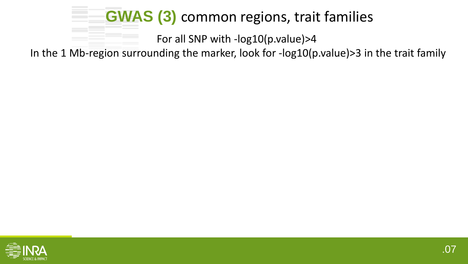#### **GWAS (3)** common regions, trait families

For all SNP with -log10(p.value)>4

In the 1 Mb-region surrounding the marker, look for -log10(p.value)>3 in the trait family

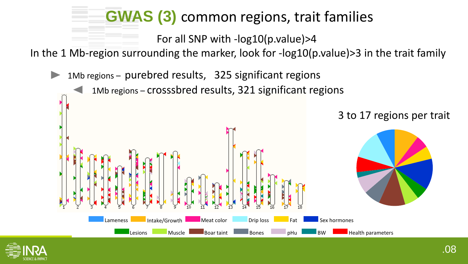#### **GWAS (3)** common regions, trait families

For all SNP with -log10(p.value)>4

In the 1 Mb-region surrounding the marker, look for -log10(p.value)>3 in the trait family

1Mb regions – purebred results, 325 significant regions

1Mb regions – crosssbred results, 321 significant regions



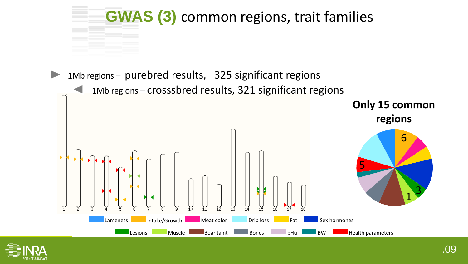

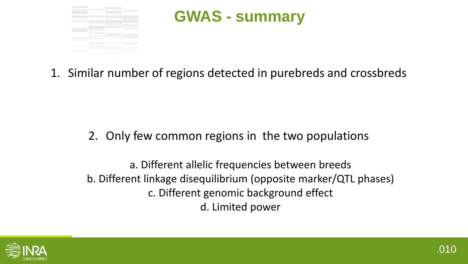

#### **GWAS - summary**

1. Similar number of regions detected in purebreds and crossbreds

2. Only few common regions in the two populations

a. Different allelic frequencies between breeds b. Different linkage disequilibrium (opposite marker/QTL phases) c. Different genomic background effect d. Limited power

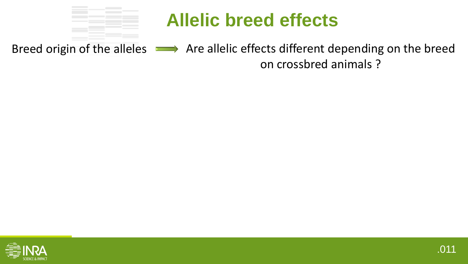

Breed origin of the alleles  $\longrightarrow$  Are allelic effects different depending on the breed on crossbred animals ?

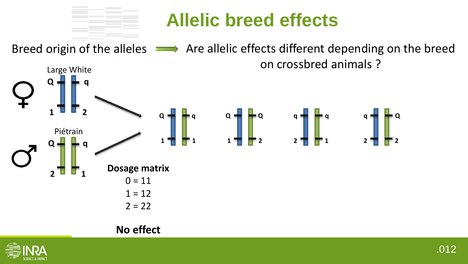

Breed origin of the alleles  $\longrightarrow$  Are allelic effects different depending on the breed Large White on crossbred animals ?



#### **No effect**

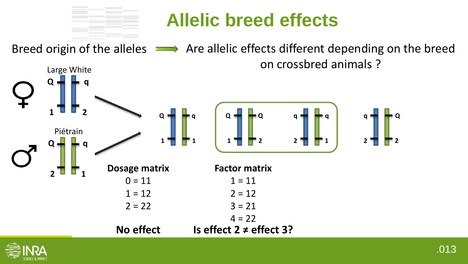Breed origin of the alleles  $\longrightarrow$  Are allelic effects different depending on the breed Large White on crossbred animals ?



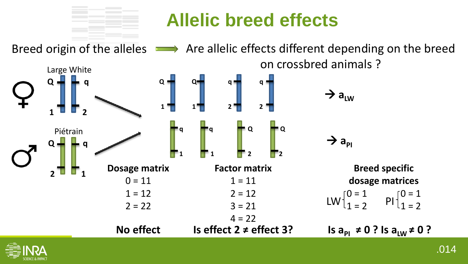

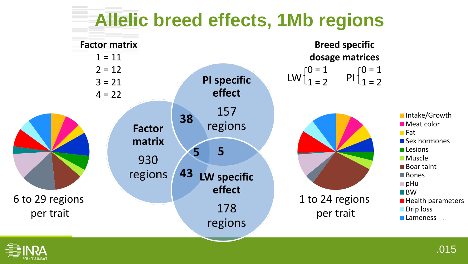

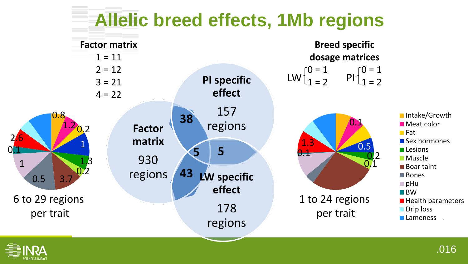

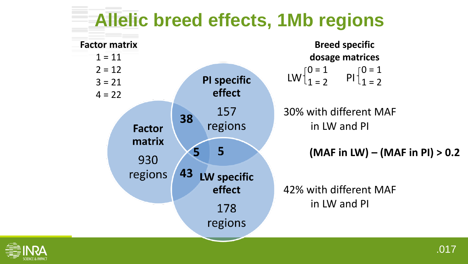#### **Allelic breed effects, 1Mb regions**



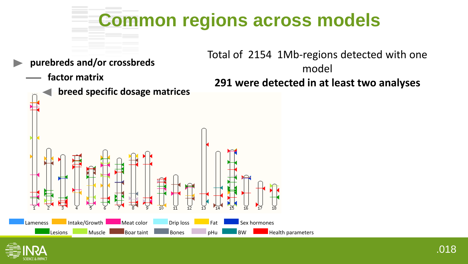

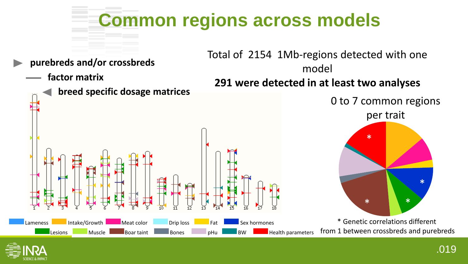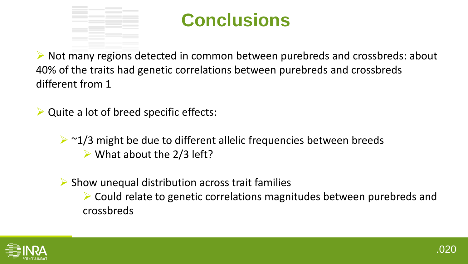

#### **Conclusions**

 Not many regions detected in common between purebreds and crossbreds: about 40% of the traits had genetic correlations between purebreds and crossbreds different from 1

 $\triangleright$  Quite a lot of breed specific effects:

 $\geq$   $\sim$  1/3 might be due to different allelic frequencies between breeds  $\triangleright$  What about the 2/3 left?

 $\triangleright$  Show unequal distribution across trait families

 Could relate to genetic correlations magnitudes between purebreds and crossbreds